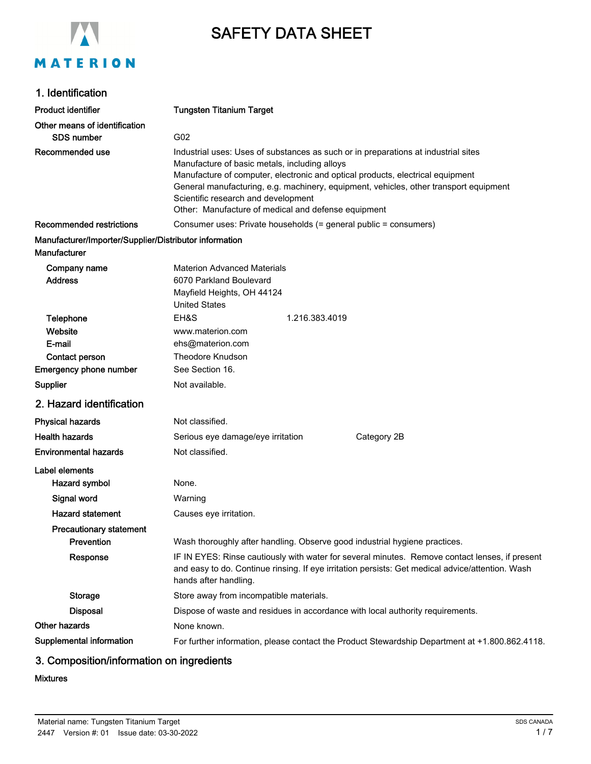

# SAFETY DATA SHEET

### 1. Identification

| <b>Product identifier</b>                                              | <b>Tungsten Titanium Target</b>                                                                                                                                                                                                                                                                                                                                                                              |  |
|------------------------------------------------------------------------|--------------------------------------------------------------------------------------------------------------------------------------------------------------------------------------------------------------------------------------------------------------------------------------------------------------------------------------------------------------------------------------------------------------|--|
| Other means of identification                                          |                                                                                                                                                                                                                                                                                                                                                                                                              |  |
| <b>SDS number</b>                                                      | G02                                                                                                                                                                                                                                                                                                                                                                                                          |  |
| Recommended use                                                        | Industrial uses: Uses of substances as such or in preparations at industrial sites<br>Manufacture of basic metals, including alloys<br>Manufacture of computer, electronic and optical products, electrical equipment<br>General manufacturing, e.g. machinery, equipment, vehicles, other transport equipment<br>Scientific research and development<br>Other: Manufacture of medical and defense equipment |  |
| <b>Recommended restrictions</b>                                        | Consumer uses: Private households (= general public = consumers)                                                                                                                                                                                                                                                                                                                                             |  |
| Manufacturer/Importer/Supplier/Distributor information<br>Manufacturer |                                                                                                                                                                                                                                                                                                                                                                                                              |  |
| Company name<br><b>Address</b>                                         | <b>Materion Advanced Materials</b><br>6070 Parkland Boulevard<br>Mayfield Heights, OH 44124<br><b>United States</b>                                                                                                                                                                                                                                                                                          |  |
| Telephone                                                              | EH&S<br>1.216.383.4019                                                                                                                                                                                                                                                                                                                                                                                       |  |
| Website                                                                | www.materion.com                                                                                                                                                                                                                                                                                                                                                                                             |  |
| E-mail                                                                 | ehs@materion.com                                                                                                                                                                                                                                                                                                                                                                                             |  |
| Contact person                                                         | <b>Theodore Knudson</b>                                                                                                                                                                                                                                                                                                                                                                                      |  |
| <b>Emergency phone number</b>                                          | See Section 16.                                                                                                                                                                                                                                                                                                                                                                                              |  |
| Supplier                                                               | Not available.                                                                                                                                                                                                                                                                                                                                                                                               |  |
| 2. Hazard identification                                               |                                                                                                                                                                                                                                                                                                                                                                                                              |  |
| <b>Physical hazards</b>                                                | Not classified.                                                                                                                                                                                                                                                                                                                                                                                              |  |
| <b>Health hazards</b>                                                  | Category 2B<br>Serious eye damage/eye irritation                                                                                                                                                                                                                                                                                                                                                             |  |
| <b>Environmental hazards</b>                                           | Not classified.                                                                                                                                                                                                                                                                                                                                                                                              |  |
| Label elements                                                         |                                                                                                                                                                                                                                                                                                                                                                                                              |  |
| Hazard symbol                                                          | None.                                                                                                                                                                                                                                                                                                                                                                                                        |  |
| Signal word                                                            | Warning                                                                                                                                                                                                                                                                                                                                                                                                      |  |
| <b>Hazard statement</b>                                                | Causes eye irritation.                                                                                                                                                                                                                                                                                                                                                                                       |  |
| <b>Precautionary statement</b>                                         |                                                                                                                                                                                                                                                                                                                                                                                                              |  |
| Prevention                                                             | Wash thoroughly after handling. Observe good industrial hygiene practices.                                                                                                                                                                                                                                                                                                                                   |  |
| Response                                                               | IF IN EYES: Rinse cautiously with water for several minutes. Remove contact lenses, if present<br>and easy to do. Continue rinsing. If eye irritation persists: Get medical advice/attention. Wash<br>hands after handling.                                                                                                                                                                                  |  |
| <b>Storage</b>                                                         | Store away from incompatible materials.                                                                                                                                                                                                                                                                                                                                                                      |  |
| <b>Disposal</b>                                                        | Dispose of waste and residues in accordance with local authority requirements.                                                                                                                                                                                                                                                                                                                               |  |
| Other hazards                                                          | None known.                                                                                                                                                                                                                                                                                                                                                                                                  |  |
| Supplemental information                                               | For further information, please contact the Product Stewardship Department at +1.800.862.4118.                                                                                                                                                                                                                                                                                                               |  |

### 3. Composition/information on ingredients

#### Mixtures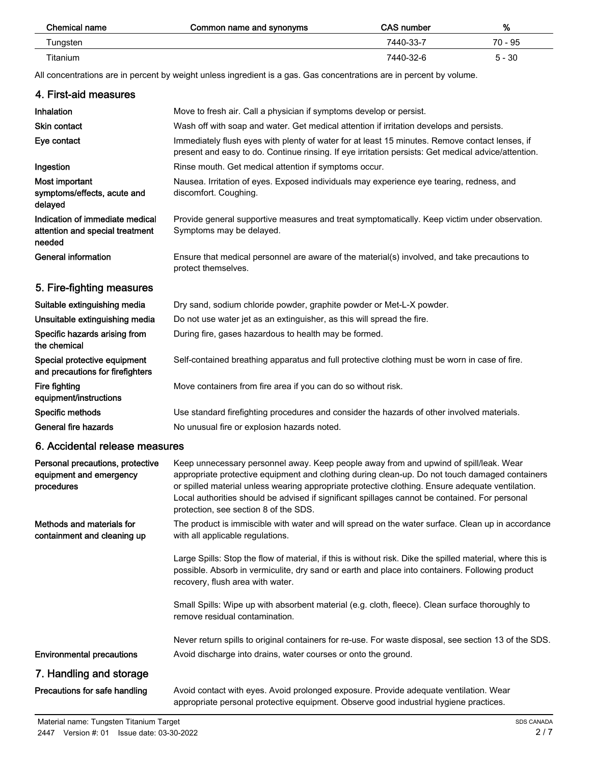| Chemical name | Common name and synonyms | <b>CAS number</b> | %        |
|---------------|--------------------------|-------------------|----------|
| Tungsten      |                          | 7440-33-7         | 70 - 95  |
| Titanium      |                          | 7440-32-6         | $5 - 30$ |

All concentrations are in percent by weight unless ingredient is a gas. Gas concentrations are in percent by volume.

| 4. First-aid measures                                                        |                                                                                                                                                                                                                                                                                                                                                                                                                                        |
|------------------------------------------------------------------------------|----------------------------------------------------------------------------------------------------------------------------------------------------------------------------------------------------------------------------------------------------------------------------------------------------------------------------------------------------------------------------------------------------------------------------------------|
| Inhalation                                                                   | Move to fresh air. Call a physician if symptoms develop or persist.                                                                                                                                                                                                                                                                                                                                                                    |
| <b>Skin contact</b>                                                          | Wash off with soap and water. Get medical attention if irritation develops and persists.                                                                                                                                                                                                                                                                                                                                               |
| Eye contact                                                                  | Immediately flush eyes with plenty of water for at least 15 minutes. Remove contact lenses, if<br>present and easy to do. Continue rinsing. If eye irritation persists: Get medical advice/attention.                                                                                                                                                                                                                                  |
| Ingestion                                                                    | Rinse mouth. Get medical attention if symptoms occur.                                                                                                                                                                                                                                                                                                                                                                                  |
| Most important<br>symptoms/effects, acute and<br>delayed                     | Nausea. Irritation of eyes. Exposed individuals may experience eye tearing, redness, and<br>discomfort. Coughing.                                                                                                                                                                                                                                                                                                                      |
| Indication of immediate medical<br>attention and special treatment<br>needed | Provide general supportive measures and treat symptomatically. Keep victim under observation.<br>Symptoms may be delayed.                                                                                                                                                                                                                                                                                                              |
| <b>General information</b>                                                   | Ensure that medical personnel are aware of the material(s) involved, and take precautions to<br>protect themselves.                                                                                                                                                                                                                                                                                                                    |
| 5. Fire-fighting measures                                                    |                                                                                                                                                                                                                                                                                                                                                                                                                                        |
| Suitable extinguishing media                                                 | Dry sand, sodium chloride powder, graphite powder or Met-L-X powder.                                                                                                                                                                                                                                                                                                                                                                   |
| Unsuitable extinguishing media                                               | Do not use water jet as an extinguisher, as this will spread the fire.                                                                                                                                                                                                                                                                                                                                                                 |
| Specific hazards arising from<br>the chemical                                | During fire, gases hazardous to health may be formed.                                                                                                                                                                                                                                                                                                                                                                                  |
| Special protective equipment<br>and precautions for firefighters             | Self-contained breathing apparatus and full protective clothing must be worn in case of fire.                                                                                                                                                                                                                                                                                                                                          |
| Fire fighting<br>equipment/instructions                                      | Move containers from fire area if you can do so without risk.                                                                                                                                                                                                                                                                                                                                                                          |
| Specific methods                                                             | Use standard firefighting procedures and consider the hazards of other involved materials.                                                                                                                                                                                                                                                                                                                                             |
| General fire hazards                                                         | No unusual fire or explosion hazards noted.                                                                                                                                                                                                                                                                                                                                                                                            |
| 6. Accidental release measures                                               |                                                                                                                                                                                                                                                                                                                                                                                                                                        |
| Personal precautions, protective<br>equipment and emergency<br>procedures    | Keep unnecessary personnel away. Keep people away from and upwind of spill/leak. Wear<br>appropriate protective equipment and clothing during clean-up. Do not touch damaged containers<br>or spilled material unless wearing appropriate protective clothing. Ensure adequate ventilation.<br>Local authorities should be advised if significant spillages cannot be contained. For personal<br>protection, see section 8 of the SDS. |
| Methods and materials for<br>containment and cleaning up                     | The product is immiscible with water and will spread on the water surface. Clean up in accordance<br>with all applicable regulations.                                                                                                                                                                                                                                                                                                  |
|                                                                              | Large Spills: Stop the flow of material, if this is without risk. Dike the spilled material, where this is<br>possible. Absorb in vermiculite, dry sand or earth and place into containers. Following product<br>recovery, flush area with water.                                                                                                                                                                                      |
|                                                                              | Small Spills: Wipe up with absorbent material (e.g. cloth, fleece). Clean surface thoroughly to<br>remove residual contamination.                                                                                                                                                                                                                                                                                                      |
|                                                                              | Never return spills to original containers for re-use. For waste disposal, see section 13 of the SDS.                                                                                                                                                                                                                                                                                                                                  |
| <b>Environmental precautions</b>                                             | Avoid discharge into drains, water courses or onto the ground.                                                                                                                                                                                                                                                                                                                                                                         |
| 7. Handling and storage                                                      |                                                                                                                                                                                                                                                                                                                                                                                                                                        |
| Precautions for safe handling                                                | Avoid contact with eyes. Avoid prolonged exposure. Provide adequate ventilation. Wear<br>appropriate personal protective equipment. Observe good industrial hygiene practices.                                                                                                                                                                                                                                                         |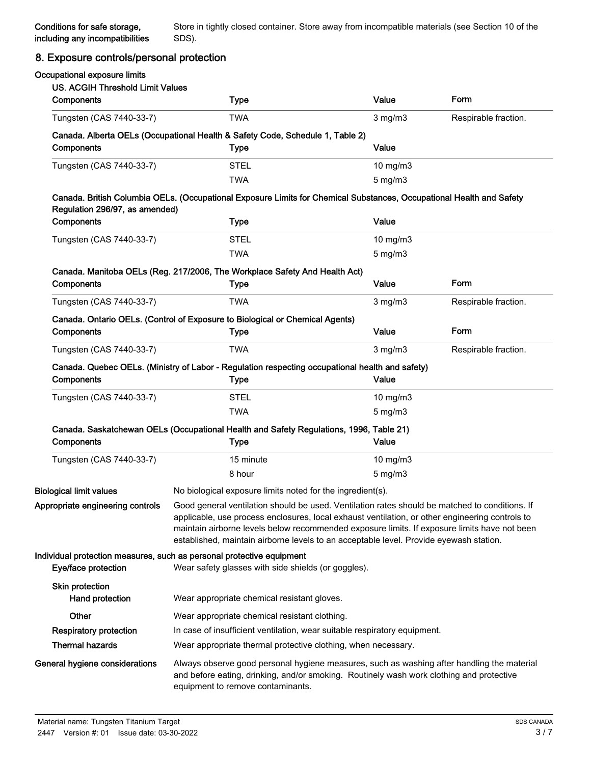### 8. Exposure controls/personal protection

| Occupational exposure limits<br><b>US. ACGIH Threshold Limit Values</b> |                                                                                                                                                                                                                                                                                                                                                                                             |                  |                      |
|-------------------------------------------------------------------------|---------------------------------------------------------------------------------------------------------------------------------------------------------------------------------------------------------------------------------------------------------------------------------------------------------------------------------------------------------------------------------------------|------------------|----------------------|
| Components                                                              | <b>Type</b>                                                                                                                                                                                                                                                                                                                                                                                 | Value            | <b>Form</b>          |
| Tungsten (CAS 7440-33-7)                                                | <b>TWA</b>                                                                                                                                                                                                                                                                                                                                                                                  | $3$ mg/m $3$     | Respirable fraction. |
|                                                                         | Canada. Alberta OELs (Occupational Health & Safety Code, Schedule 1, Table 2)                                                                                                                                                                                                                                                                                                               |                  |                      |
| Components                                                              | <b>Type</b>                                                                                                                                                                                                                                                                                                                                                                                 | Value            |                      |
| Tungsten (CAS 7440-33-7)                                                | <b>STEL</b>                                                                                                                                                                                                                                                                                                                                                                                 | $10$ mg/m $3$    |                      |
|                                                                         | <b>TWA</b>                                                                                                                                                                                                                                                                                                                                                                                  | $5$ mg/m $3$     |                      |
| Regulation 296/97, as amended)                                          | Canada. British Columbia OELs. (Occupational Exposure Limits for Chemical Substances, Occupational Health and Safety                                                                                                                                                                                                                                                                        |                  |                      |
| Components                                                              | <b>Type</b>                                                                                                                                                                                                                                                                                                                                                                                 | Value            |                      |
| Tungsten (CAS 7440-33-7)                                                | <b>STEL</b>                                                                                                                                                                                                                                                                                                                                                                                 | 10 mg/m3         |                      |
|                                                                         | <b>TWA</b>                                                                                                                                                                                                                                                                                                                                                                                  | $5 \text{ mg/m}$ |                      |
|                                                                         | Canada. Manitoba OELs (Reg. 217/2006, The Workplace Safety And Health Act)                                                                                                                                                                                                                                                                                                                  |                  |                      |
| Components                                                              | <b>Type</b>                                                                                                                                                                                                                                                                                                                                                                                 | Value            | Form                 |
| Tungsten (CAS 7440-33-7)                                                | <b>TWA</b>                                                                                                                                                                                                                                                                                                                                                                                  | $3$ mg/m $3$     | Respirable fraction. |
|                                                                         | Canada. Ontario OELs. (Control of Exposure to Biological or Chemical Agents)                                                                                                                                                                                                                                                                                                                |                  |                      |
| Components                                                              | Type                                                                                                                                                                                                                                                                                                                                                                                        | Value            | Form                 |
| Tungsten (CAS 7440-33-7)                                                | TWA                                                                                                                                                                                                                                                                                                                                                                                         | $3$ mg/m $3$     | Respirable fraction. |
|                                                                         | Canada. Quebec OELs. (Ministry of Labor - Regulation respecting occupational health and safety)                                                                                                                                                                                                                                                                                             |                  |                      |
| Components                                                              | <b>Type</b>                                                                                                                                                                                                                                                                                                                                                                                 | Value            |                      |
| Tungsten (CAS 7440-33-7)                                                | <b>STEL</b>                                                                                                                                                                                                                                                                                                                                                                                 | $10$ mg/m $3$    |                      |
|                                                                         | <b>TWA</b>                                                                                                                                                                                                                                                                                                                                                                                  | $5 \text{ mg/m}$ |                      |
|                                                                         | Canada. Saskatchewan OELs (Occupational Health and Safety Regulations, 1996, Table 21)                                                                                                                                                                                                                                                                                                      |                  |                      |
| Components                                                              | Type                                                                                                                                                                                                                                                                                                                                                                                        | Value            |                      |
| Tungsten (CAS 7440-33-7)                                                | 15 minute                                                                                                                                                                                                                                                                                                                                                                                   | $10$ mg/m $3$    |                      |
|                                                                         | 8 hour                                                                                                                                                                                                                                                                                                                                                                                      | $5 \text{ mg/m}$ |                      |
| <b>Biological limit values</b>                                          | No biological exposure limits noted for the ingredient(s).                                                                                                                                                                                                                                                                                                                                  |                  |                      |
| Appropriate engineering controls                                        | Good general ventilation should be used. Ventilation rates should be matched to conditions. If<br>applicable, use process enclosures, local exhaust ventilation, or other engineering controls to<br>maintain airborne levels below recommended exposure limits. If exposure limits have not been<br>established, maintain airborne levels to an acceptable level. Provide eyewash station. |                  |                      |
| Eye/face protection                                                     | Individual protection measures, such as personal protective equipment<br>Wear safety glasses with side shields (or goggles).                                                                                                                                                                                                                                                                |                  |                      |
| Skin protection<br>Hand protection                                      | Wear appropriate chemical resistant gloves.                                                                                                                                                                                                                                                                                                                                                 |                  |                      |
| Other                                                                   | Wear appropriate chemical resistant clothing.                                                                                                                                                                                                                                                                                                                                               |                  |                      |
| <b>Respiratory protection</b>                                           | In case of insufficient ventilation, wear suitable respiratory equipment.                                                                                                                                                                                                                                                                                                                   |                  |                      |
| <b>Thermal hazards</b>                                                  | Wear appropriate thermal protective clothing, when necessary.                                                                                                                                                                                                                                                                                                                               |                  |                      |
| General hygiene considerations                                          | Always observe good personal hygiene measures, such as washing after handling the material<br>and before eating, drinking, and/or smoking. Routinely wash work clothing and protective<br>equipment to remove contaminants.                                                                                                                                                                 |                  |                      |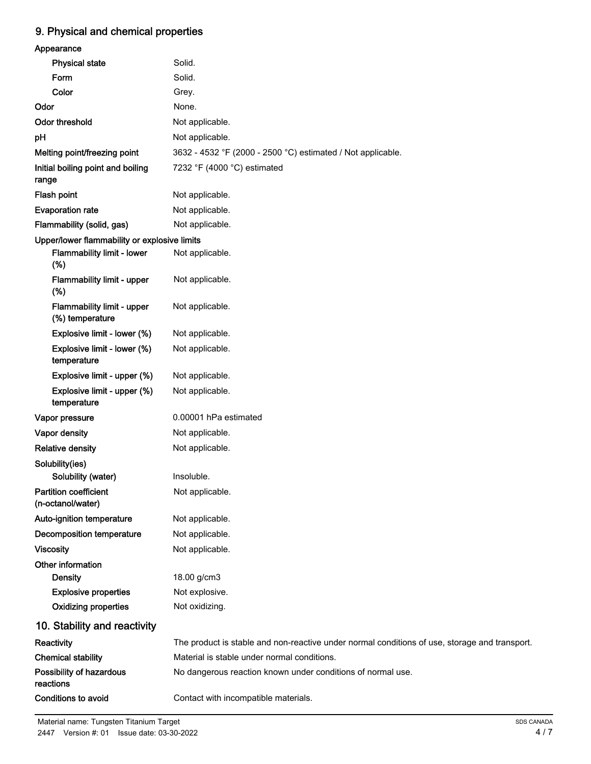## 9. Physical and chemical properties

| Appearance                                        |                                                                                               |
|---------------------------------------------------|-----------------------------------------------------------------------------------------------|
| <b>Physical state</b>                             | Solid.                                                                                        |
| Form                                              | Solid.                                                                                        |
| Color                                             | Grey.                                                                                         |
| Odor                                              | None.                                                                                         |
| Odor threshold                                    | Not applicable.                                                                               |
| pH                                                | Not applicable.                                                                               |
| Melting point/freezing point                      | 3632 - 4532 °F (2000 - 2500 °C) estimated / Not applicable.                                   |
| Initial boiling point and boiling<br>range        | 7232 °F (4000 °C) estimated                                                                   |
| Flash point                                       | Not applicable.                                                                               |
| <b>Evaporation rate</b>                           | Not applicable.                                                                               |
| Flammability (solid, gas)                         | Not applicable.                                                                               |
| Upper/lower flammability or explosive limits      |                                                                                               |
| Flammability limit - lower<br>(%)                 | Not applicable.                                                                               |
| Flammability limit - upper<br>(%)                 | Not applicable.                                                                               |
| Flammability limit - upper<br>(%) temperature     | Not applicable.                                                                               |
| Explosive limit - lower (%)                       | Not applicable.                                                                               |
| Explosive limit - lower (%)<br>temperature        | Not applicable.                                                                               |
| Explosive limit - upper (%)                       | Not applicable.                                                                               |
| Explosive limit - upper (%)<br>temperature        | Not applicable.                                                                               |
| Vapor pressure                                    | 0.00001 hPa estimated                                                                         |
| Vapor density                                     | Not applicable.                                                                               |
| <b>Relative density</b>                           | Not applicable.                                                                               |
| Solubility(ies)                                   |                                                                                               |
| Solubility (water)                                | Insoluble.                                                                                    |
| <b>Partition coefficient</b><br>(n-octanol/water) | Not applicable.                                                                               |
| Auto-ignition temperature                         | Not applicable.                                                                               |
| <b>Decomposition temperature</b>                  | Not applicable.                                                                               |
| <b>Viscosity</b>                                  | Not applicable.                                                                               |
| Other information                                 |                                                                                               |
| <b>Density</b>                                    | 18.00 g/cm3                                                                                   |
| <b>Explosive properties</b>                       | Not explosive.                                                                                |
| <b>Oxidizing properties</b>                       | Not oxidizing.                                                                                |
| 10. Stability and reactivity                      |                                                                                               |
| Reactivity                                        | The product is stable and non-reactive under normal conditions of use, storage and transport. |
| <b>Chemical stability</b>                         | Material is stable under normal conditions.                                                   |
| Possibility of hazardous<br>reactions             | No dangerous reaction known under conditions of normal use.                                   |
| Conditions to avoid                               | Contact with incompatible materials.                                                          |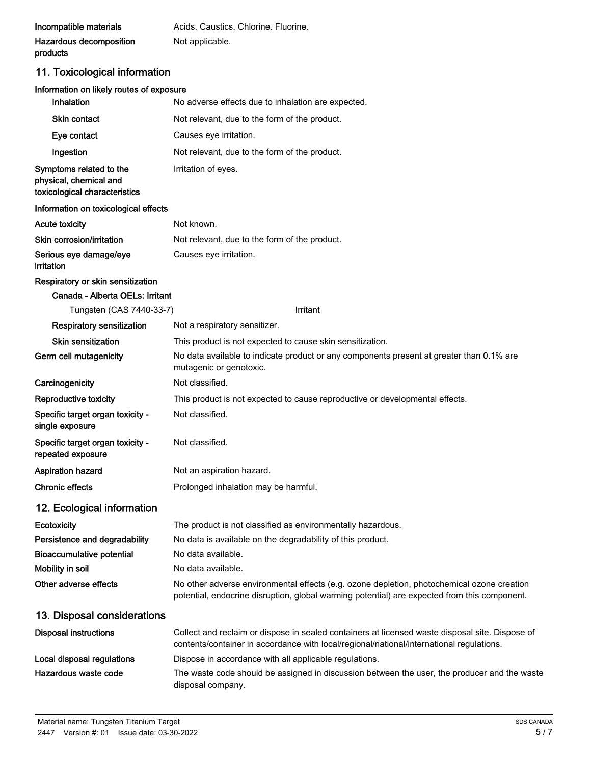| Incompatible materials  | Acids. Caustics. Chlorine. Fluorine. |
|-------------------------|--------------------------------------|
| Hazardous decomposition | Not applicable.                      |
| products                |                                      |

# 11. Toxicological information

### Information on likely routes of exposure

| Inhalation                                                                         | No adverse effects due to inhalation are expected.                                                                                                                                          |
|------------------------------------------------------------------------------------|---------------------------------------------------------------------------------------------------------------------------------------------------------------------------------------------|
| Skin contact                                                                       | Not relevant, due to the form of the product.                                                                                                                                               |
| Eye contact                                                                        | Causes eye irritation.                                                                                                                                                                      |
| Ingestion                                                                          | Not relevant, due to the form of the product.                                                                                                                                               |
| Symptoms related to the<br>physical, chemical and<br>toxicological characteristics | Irritation of eyes.                                                                                                                                                                         |
| Information on toxicological effects                                               |                                                                                                                                                                                             |
| <b>Acute toxicity</b>                                                              | Not known.                                                                                                                                                                                  |
| Skin corrosion/irritation                                                          | Not relevant, due to the form of the product.                                                                                                                                               |
| Serious eye damage/eye<br>irritation                                               | Causes eye irritation.                                                                                                                                                                      |
| Respiratory or skin sensitization                                                  |                                                                                                                                                                                             |
| Canada - Alberta OELs: Irritant                                                    |                                                                                                                                                                                             |
| Tungsten (CAS 7440-33-7)                                                           | Irritant                                                                                                                                                                                    |
| <b>Respiratory sensitization</b>                                                   | Not a respiratory sensitizer.                                                                                                                                                               |
| <b>Skin sensitization</b>                                                          | This product is not expected to cause skin sensitization.                                                                                                                                   |
| Germ cell mutagenicity                                                             | No data available to indicate product or any components present at greater than 0.1% are<br>mutagenic or genotoxic.                                                                         |
| Carcinogenicity                                                                    | Not classified.                                                                                                                                                                             |
| Reproductive toxicity                                                              | This product is not expected to cause reproductive or developmental effects.                                                                                                                |
| Specific target organ toxicity -<br>single exposure                                | Not classified.                                                                                                                                                                             |
| Specific target organ toxicity -<br>repeated exposure                              | Not classified.                                                                                                                                                                             |
| <b>Aspiration hazard</b>                                                           | Not an aspiration hazard.                                                                                                                                                                   |
| <b>Chronic effects</b>                                                             | Prolonged inhalation may be harmful.                                                                                                                                                        |
| 12. Ecological information                                                         |                                                                                                                                                                                             |
| Ecotoxicity                                                                        | The product is not classified as environmentally hazardous.                                                                                                                                 |
| Persistence and degradability                                                      | No data is available on the degradability of this product.                                                                                                                                  |
| <b>Bioaccumulative potential</b>                                                   | No data available.                                                                                                                                                                          |
| Mobility in soil                                                                   | No data available.                                                                                                                                                                          |
| Other adverse effects                                                              | No other adverse environmental effects (e.g. ozone depletion, photochemical ozone creation<br>potential, endocrine disruption, global warming potential) are expected from this component.  |
| 13. Disposal considerations                                                        |                                                                                                                                                                                             |
| <b>Disposal instructions</b>                                                       | Collect and reclaim or dispose in sealed containers at licensed waste disposal site. Dispose of<br>contents/container in accordance with local/regional/national/international regulations. |
| Local disposal regulations                                                         | Dispose in accordance with all applicable regulations.                                                                                                                                      |
| Hazardous waste code                                                               | The waste code should be assigned in discussion between the user, the producer and the waste<br>disposal company.                                                                           |
|                                                                                    |                                                                                                                                                                                             |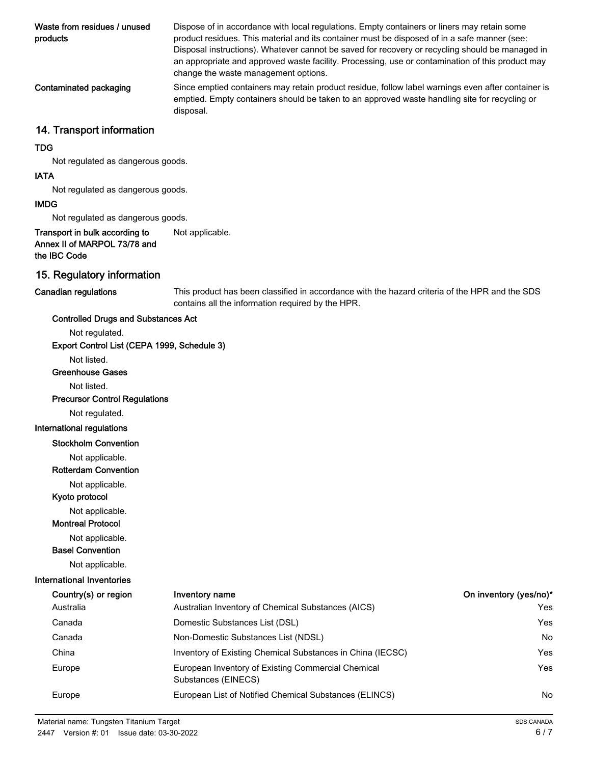| Waste from residues / unused<br>products                                       | Dispose of in accordance with local regulations. Empty containers or liners may retain some<br>product residues. This material and its container must be disposed of in a safe manner (see:<br>Disposal instructions). Whatever cannot be saved for recovery or recycling should be managed in<br>an appropriate and approved waste facility. Processing, use or contamination of this product may<br>change the waste management options. |
|--------------------------------------------------------------------------------|--------------------------------------------------------------------------------------------------------------------------------------------------------------------------------------------------------------------------------------------------------------------------------------------------------------------------------------------------------------------------------------------------------------------------------------------|
| Contaminated packaging                                                         | Since emptied containers may retain product residue, follow label warnings even after container is<br>emptied. Empty containers should be taken to an approved waste handling site for recycling or<br>disposal.                                                                                                                                                                                                                           |
| 14. Transport information                                                      |                                                                                                                                                                                                                                                                                                                                                                                                                                            |
| <b>TDG</b>                                                                     |                                                                                                                                                                                                                                                                                                                                                                                                                                            |
| Not regulated as dangerous goods.                                              |                                                                                                                                                                                                                                                                                                                                                                                                                                            |
| <b>IATA</b>                                                                    |                                                                                                                                                                                                                                                                                                                                                                                                                                            |
| Not regulated as dangerous goods.                                              |                                                                                                                                                                                                                                                                                                                                                                                                                                            |
| <b>IMDG</b>                                                                    |                                                                                                                                                                                                                                                                                                                                                                                                                                            |
| Not regulated as dangerous goods.                                              |                                                                                                                                                                                                                                                                                                                                                                                                                                            |
| Transport in bulk according to<br>Annex II of MARPOL 73/78 and<br>the IBC Code | Not applicable.                                                                                                                                                                                                                                                                                                                                                                                                                            |
| 15. Regulatory information                                                     |                                                                                                                                                                                                                                                                                                                                                                                                                                            |
| <b>Canadian regulations</b>                                                    | This product has been classified in accordance with the hazard criteria of the HPR and the SDS                                                                                                                                                                                                                                                                                                                                             |

This product has been classified in accordance with the hazard criteria of the HPR and the SDS contains all the information required by the HPR.

### Controlled Drugs and Substances Act

Not regulated.

Export Control List (CEPA 1999, Schedule 3)

Not listed.

#### Greenhouse Gases

Not listed.

Precursor Control Regulations

Not regulated.

#### International regulations

Stockholm Convention

Not applicable.

Rotterdam Convention

Not applicable.

Kyoto protocol

Not applicable.

### Montreal Protocol

Not applicable.

Basel Convention

Not applicable.

#### International Inventories

| Country(s) or region | Inventory name                                                            | On inventory (yes/no)* |
|----------------------|---------------------------------------------------------------------------|------------------------|
| Australia            | Australian Inventory of Chemical Substances (AICS)                        | Yes                    |
| Canada               | Domestic Substances List (DSL)                                            | Yes                    |
| Canada               | Non-Domestic Substances List (NDSL)                                       | <b>No</b>              |
| China                | Inventory of Existing Chemical Substances in China (IECSC)                | Yes                    |
| Europe               | European Inventory of Existing Commercial Chemical<br>Substances (EINECS) | Yes                    |
| Europe               | European List of Notified Chemical Substances (ELINCS)                    | No.                    |